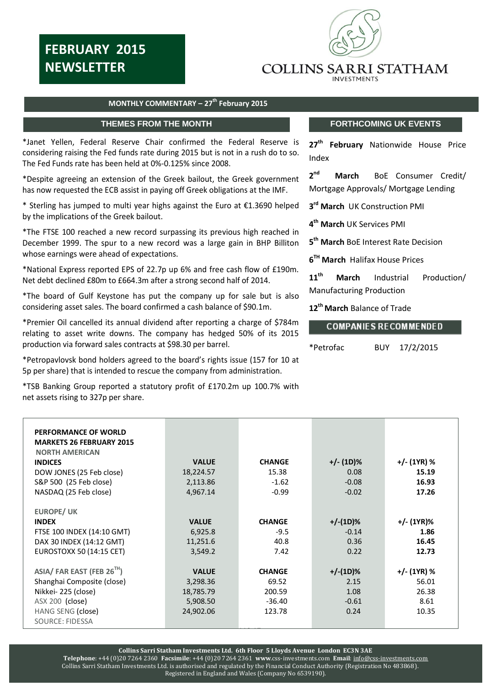# **FEBRUARY 2015 NEWSLETTER**



## **COLLINS SARRI STATHAM**

NTS **Extending 2014** CLIENTS ONLY

### **MONTHLY COMMENTARY – 27 th February 2015**

 $\overline{a}$ 

\*Janet Yellen, Federal Reserve Chair confirmed the Federal Reserve is considering raising the Fed funds rate during 2015 but is not in a rush do to so. The Fed Funds rate has been held at 0%-0.125% since 2008.

\*Despite agreeing an extension of the Greek bailout, the Greek government has now requested the ECB assist in paying off Greek obligations at the IMF.

\* Sterling has jumped to multi year highs against the Euro at €1.3690 helped by the implications of the Greek bailout.

\*The FTSE 100 reached a new record surpassing its previous high reached in December 1999. The spur to a new record was a large gain in BHP Billiton whose earnings were ahead of expectations.

\*National Express reported EPS of 22.7p up 6% and free cash flow of £190m. Net debt declined £80m to £664.3m after a strong second half of 2014.

\*The board of Gulf Keystone has put the company up for sale but is also considering asset sales. The board confirmed a cash balance of \$90.1m.

\*Premier Oil cancelled its annual dividend after reporting a charge of \$784m relating to asset write downs. The company has hedged 50% of its 2015 production via forward sales contracts at \$98.30 per barrel.

\*Petropavlovsk bond holders agreed to the board's rights issue (157 for 10 at 5p per share) that is intended to rescue the company from administration.

\*TSB Banking Group reported a statutory profit of £170.2m up 100.7% with net assets rising to 327p per share.

## **THEMES FROM THE MONTH FORTHCOMING UK EVENTS**

**27 th February** Nationwide House Price Index

 $2<sup>nd</sup>$ **March** BoE Consumer Credit/ Mortgage Approvals/ Mortgage Lending

**3 rd March** UK Construction PMI

**4 th March** UK Services PMI

**5 th March** BoE Interest Rate Decision

**6 TH March** Halifax House Prices

**11 th March** Industrial Production/ Manufacturing Production

**12 th March** Balance of Trade

### **COMPANIES RECOMMENDED**

\*Petrofac BUY 17/2/2015

| PERFORMANCE OF WORLD<br><b>MARKETS 26 FEBRUARY 2015</b><br><b>NORTH AMERICAN</b><br><b>INDICES</b><br>DOW JONES (25 Feb close)<br>S&P 500 (25 Feb close)<br>NASDAQ (25 Feb close) | <b>VALUE</b><br>18,224.57<br>2,113.86<br>4,967.14 | <b>CHANGE</b><br>15.38<br>$-1.62$<br>$-0.99$ | $+/- (1D)%$<br>0.08<br>$-0.08$<br>$-0.02$ | +/- (1YR) %<br>15.19<br>16.93<br>17.26 |
|-----------------------------------------------------------------------------------------------------------------------------------------------------------------------------------|---------------------------------------------------|----------------------------------------------|-------------------------------------------|----------------------------------------|
| <b>EUROPE/ UK</b>                                                                                                                                                                 |                                                   |                                              |                                           |                                        |
| <b>INDEX</b>                                                                                                                                                                      | <b>VALUE</b>                                      | <b>CHANGE</b>                                | $+/-(1D)%$                                | +/- (1YR)%                             |
| FTSE 100 INDEX (14:10 GMT)                                                                                                                                                        | 6,925.8                                           | $-9.5$                                       | $-0.14$                                   | 1.86                                   |
| DAX 30 INDEX (14:12 GMT)                                                                                                                                                          | 11,251.6                                          | 40.8                                         | 0.36                                      | 16.45                                  |
| <b>EUROSTOXX 50 (14:15 CET)</b>                                                                                                                                                   | 3,549.2                                           | 7.42                                         | 0.22                                      | 12.73                                  |
|                                                                                                                                                                                   |                                                   |                                              |                                           |                                        |
| ASIA/ FAR EAST (FEB 26 <sup>TH</sup> )                                                                                                                                            | <b>VALUE</b>                                      | <b>CHANGE</b>                                | $+/-(1D)%$                                | +/- (1YR) %                            |
| Shanghai Composite (close)                                                                                                                                                        | 3,298.36                                          | 69.52                                        | 2.15                                      | 56.01                                  |
| Nikkei-225 (close)                                                                                                                                                                | 18,785.79                                         | 200.59                                       | 1.08                                      | 26.38                                  |
| ASX 200 (close)                                                                                                                                                                   | 5,908.50                                          | $-36.40$                                     | $-0.61$                                   | 8.61                                   |
| HANG SENG (close)                                                                                                                                                                 | 24,902.06                                         | 123.78                                       | 0.24                                      | 10.35                                  |
| <b>SOURCE: FIDESSA</b>                                                                                                                                                            |                                                   |                                              |                                           |                                        |

118.17